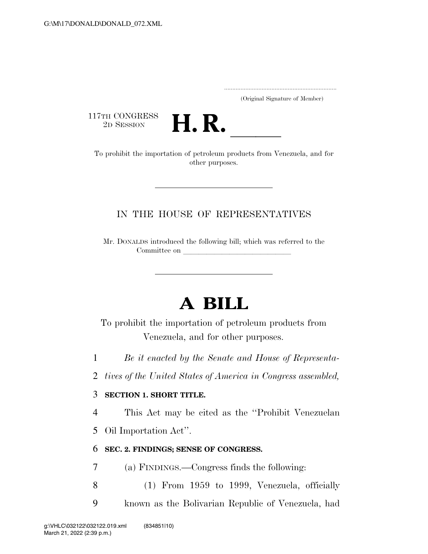.....................................................................

(Original Signature of Member)

117TH CONGRESS<br>2D SESSION



17TH CONGRESS<br>
2D SESSION<br>
To prohibit the importation of petroleum products from Venezuela, and for other purposes.

### IN THE HOUSE OF REPRESENTATIVES

Mr. DONALDS introduced the following bill; which was referred to the Committee on

# **A BILL**

To prohibit the importation of petroleum products from Venezuela, and for other purposes.

1 *Be it enacted by the Senate and House of Representa-*

2 *tives of the United States of America in Congress assembled,* 

#### 3 **SECTION 1. SHORT TITLE.**

4 This Act may be cited as the ''Prohibit Venezuelan

5 Oil Importation Act''.

#### 6 **SEC. 2. FINDINGS; SENSE OF CONGRESS.**

- 7 (a) FINDINGS.—Congress finds the following:
- 8 (1) From 1959 to 1999, Venezuela, officially
- 9 known as the Bolivarian Republic of Venezuela, had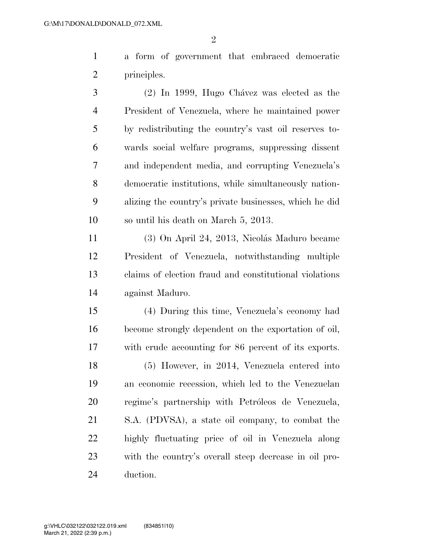a form of government that embraced democratic principles.

 (2) In 1999, Hugo Cha´vez was elected as the President of Venezuela, where he maintained power by redistributing the country's vast oil reserves to- wards social welfare programs, suppressing dissent and independent media, and corrupting Venezuela's democratic institutions, while simultaneously nation- alizing the country's private businesses, which he did so until his death on March 5, 2013.

11 (3) On April 24, 2013, Nicolás Maduro became President of Venezuela, notwithstanding multiple claims of election fraud and constitutional violations against Maduro.

 (4) During this time, Venezuela's economy had become strongly dependent on the exportation of oil, with crude accounting for 86 percent of its exports. (5) However, in 2014, Venezuela entered into an economic recession, which led to the Venezuelan 20 regime's partnership with Petróleos de Venezuela, S.A. (PDVSA), a state oil company, to combat the highly fluctuating price of oil in Venezuela along with the country's overall steep decrease in oil pro-duction.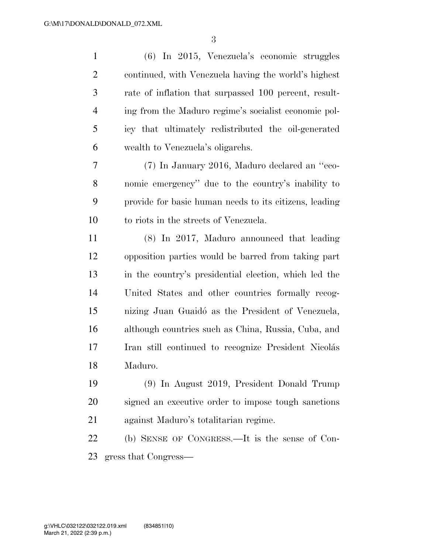(6) In 2015, Venezuela's economic struggles continued, with Venezuela having the world's highest rate of inflation that surpassed 100 percent, result- ing from the Maduro regime's socialist economic pol- icy that ultimately redistributed the oil-generated wealth to Venezuela's oligarchs.

 (7) In January 2016, Maduro declared an ''eco- nomic emergency'' due to the country's inability to provide for basic human needs to its citizens, leading to riots in the streets of Venezuela.

 (8) In 2017, Maduro announced that leading opposition parties would be barred from taking part in the country's presidential election, which led the United States and other countries formally recog- nizing Juan Guaido´ as the President of Venezuela, although countries such as China, Russia, Cuba, and 17 Iran still continued to recognize President Nicolás Maduro.

 (9) In August 2019, President Donald Trump signed an executive order to impose tough sanctions against Maduro's totalitarian regime.

 (b) SENSE OF CONGRESS.—It is the sense of Con-gress that Congress—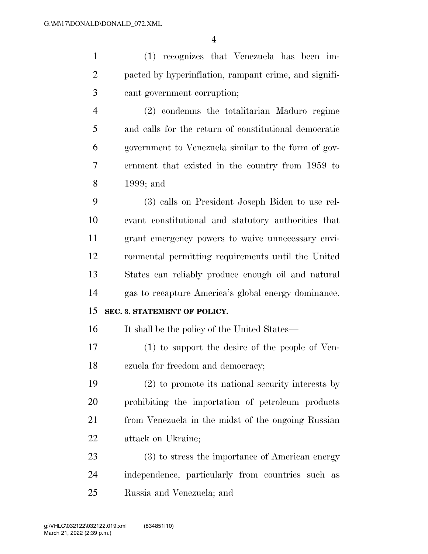(1) recognizes that Venezuela has been im- pacted by hyperinflation, rampant crime, and signifi- cant government corruption; (2) condemns the totalitarian Maduro regime and calls for the return of constitutional democratic government to Venezuela similar to the form of gov- ernment that existed in the country from 1959 to 1999; and (3) calls on President Joseph Biden to use rel- evant constitutional and statutory authorities that grant emergency powers to waive unnecessary envi- ronmental permitting requirements until the United States can reliably produce enough oil and natural gas to recapture America's global energy dominance. **SEC. 3. STATEMENT OF POLICY.**  16 It shall be the policy of the United States— (1) to support the desire of the people of Ven- ezuela for freedom and democracy; (2) to promote its national security interests by prohibiting the importation of petroleum products from Venezuela in the midst of the ongoing Russian attack on Ukraine; (3) to stress the importance of American energy independence, particularly from countries such as

Russia and Venezuela; and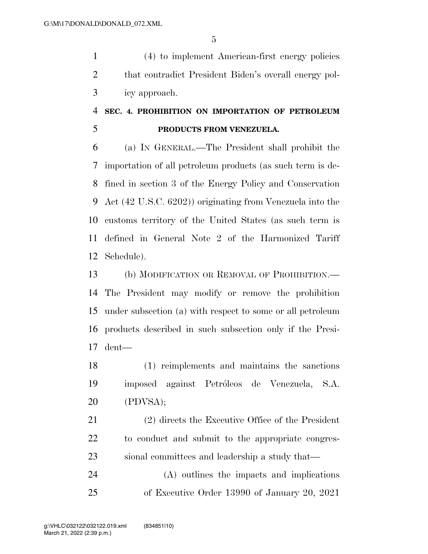(4) to implement American-first energy policies that contradict President Biden's overall energy pol-icy approach.

## **SEC. 4. PROHIBITION ON IMPORTATION OF PETROLEUM PRODUCTS FROM VENEZUELA.**

 (a) IN GENERAL.—The President shall prohibit the importation of all petroleum products (as such term is de- fined in section 3 of the Energy Policy and Conservation Act (42 U.S.C. 6202)) originating from Venezuela into the customs territory of the United States (as such term is defined in General Note 2 of the Harmonized Tariff Schedule).

 (b) MODIFICATION OR REMOVAL OF PROHIBITION.— The President may modify or remove the prohibition under subsection (a) with respect to some or all petroleum products described in such subsection only if the Presi-dent—

 (1) reimplements and maintains the sanctions 19 imposed against Petróleos de Venezuela, S.A. (PDVSA);

 (2) directs the Executive Office of the President to conduct and submit to the appropriate congres-sional committees and leadership a study that—

 (A) outlines the impacts and implications of Executive Order 13990 of January 20, 2021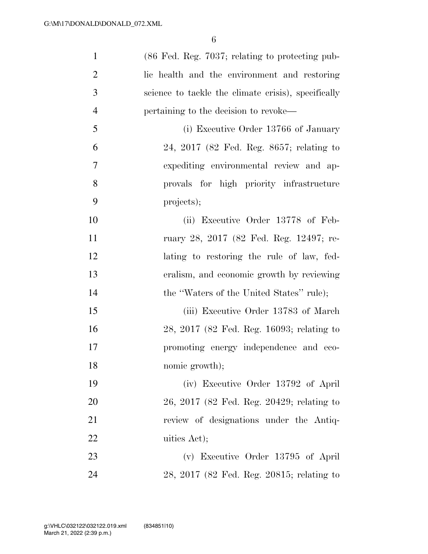| $\mathbf{1}$   | $(86 \text{ Fed. Reg. } 7037; \text{ relating to protecting pub-}$ |
|----------------|--------------------------------------------------------------------|
| $\overline{2}$ | lic health and the environment and restoring                       |
| 3              | science to tackle the climate crisis), specifically                |
| $\overline{4}$ | pertaining to the decision to revoke—                              |
| 5              | (i) Executive Order 13766 of January                               |
| 6              | 24, 2017 (82 Fed. Reg. 8657; relating to                           |
| 7              | expediting environmental review and ap-                            |
| 8              | provals for high priority infrastructure                           |
| 9              | projects);                                                         |
| 10             | (ii) Executive Order 13778 of Feb-                                 |
| 11             | ruary 28, 2017 (82 Fed. Reg. 12497; re-                            |
| 12             | lating to restoring the rule of law, fed-                          |
| 13             | eralism, and economic growth by reviewing                          |
| 14             | the "Waters of the United States" rule);                           |
| 15             | (iii) Executive Order 13783 of March                               |
| 16             | 28, 2017 (82 Fed. Reg. 16093; relating to                          |
| 17             | promoting energy independence and eco-                             |
| 18             | nomic growth);                                                     |
| 19             | (iv) Executive Order 13792 of April                                |
| 20             | 26, 2017 (82 Fed. Reg. 20429; relating to                          |
| 21             | review of designations under the Antiq-                            |
| 22             | uities Act);                                                       |
| 23             | (v) Executive Order 13795 of April                                 |
| 24             | 28, 2017 (82 Fed. Reg. 20815; relating to                          |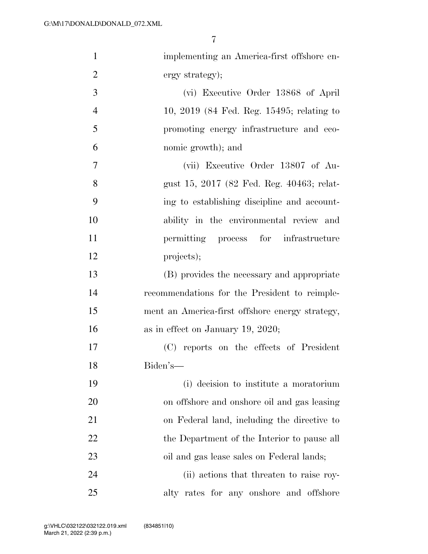| $\mathbf{1}$   | implementing an America-first offshore en-      |
|----------------|-------------------------------------------------|
| $\overline{2}$ | ergy strategy);                                 |
| 3              | (vi) Executive Order 13868 of April             |
| $\overline{4}$ | 10, 2019 (84 Fed. Reg. 15495; relating to       |
| 5              | promoting energy infrastructure and eco-        |
| 6              | nomic growth); and                              |
| 7              | (vii) Executive Order 13807 of Au-              |
| 8              | gust 15, 2017 (82 Fed. Reg. 40463; relat-       |
| 9              | ing to establishing discipline and account-     |
| 10             | ability in the environmental review and         |
| 11             | permitting process for infrastructure           |
| 12             | projects);                                      |
| 13             | (B) provides the necessary and appropriate      |
| 14             | recommendations for the President to reimple-   |
| 15             | ment an America-first offshore energy strategy, |
| 16             | as in effect on January 19, 2020;               |
| 17             | (C) reports on the effects of President         |
| 18             | Biden's-                                        |
| 19             | (i) decision to institute a moratorium          |
| 20             | on offshore and onshore oil and gas leasing     |
| 21             | on Federal land, including the directive to     |
| 22             | the Department of the Interior to pause all     |
| 23             | oil and gas lease sales on Federal lands;       |
| 24             | (ii) actions that threaten to raise roy-        |
| 25             | alty rates for any onshore and offshore         |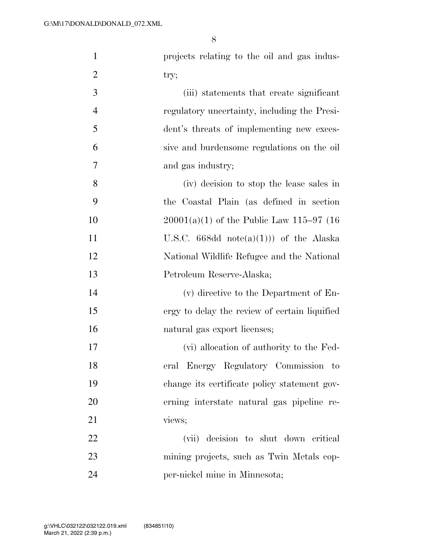| $\mathbf{1}$   | projects relating to the oil and gas indus-   |
|----------------|-----------------------------------------------|
| $\overline{2}$ | try;                                          |
| 3              | (iii) statements that create significant      |
| $\overline{4}$ | regulatory uncertainty, including the Presi-  |
| 5              | dent's threats of implementing new exces-     |
| 6              | sive and burdensome regulations on the oil    |
| 7              | and gas industry;                             |
| 8              | (iv) decision to stop the lease sales in      |
| 9              | the Coastal Plain (as defined in section      |
| 10             | $20001(a)(1)$ of the Public Law 115-97 (16)   |
| 11             | U.S.C. 668dd note $(a)(1))$ of the Alaska     |
| 12             | National Wildlife Refugee and the National    |
| 13             | Petroleum Reserve-Alaska;                     |
| 14             | (v) directive to the Department of En-        |
| 15             | ergy to delay the review of certain liquified |
| 16             | natural gas export licenses;                  |
| 17             | (vi) allocation of authority to the Fed-      |
| 18             | eral Energy Regulatory Commission to          |
| 19             | change its certificate policy statement gov-  |
| 20             | erning interstate natural gas pipeline re-    |
| 21             | views;                                        |
| 22             | (vii) decision to shut down critical          |
| 23             | mining projects, such as Twin Metals cop-     |
| 24             | per-nickel mine in Minnesota;                 |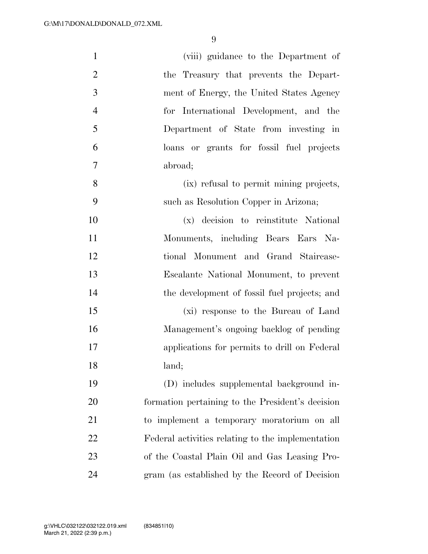| $\mathbf{1}$   | (viii) guidance to the Department of              |
|----------------|---------------------------------------------------|
| $\overline{2}$ | the Treasury that prevents the Depart-            |
| 3              | ment of Energy, the United States Agency          |
| $\overline{4}$ | for International Development, and the            |
| 5              | Department of State from investing in             |
| 6              | loans or grants for fossil fuel projects          |
| 7              | abroad;                                           |
| 8              | (ix) refusal to permit mining projects,           |
| 9              | such as Resolution Copper in Arizona;             |
| 10             | (x) decision to reinstitute National              |
| 11             | Monuments, including Bears Ears Na-               |
| 12             | tional Monument and Grand Staircase-              |
| 13             | Escalante National Monument, to prevent           |
| 14             | the development of fossil fuel projects; and      |
| 15             | (xi) response to the Bureau of Land               |
| 16             | Management's ongoing backlog of pending           |
| 17             | applications for permits to drill on Federal      |
| 18             | land;                                             |
| 19             | (D) includes supplemental background in-          |
| 20             | formation pertaining to the President's decision  |
| 21             | to implement a temporary moratorium on all        |
| 22             | Federal activities relating to the implementation |
| 23             | of the Coastal Plain Oil and Gas Leasing Pro-     |
| 24             | gram (as established by the Record of Decision    |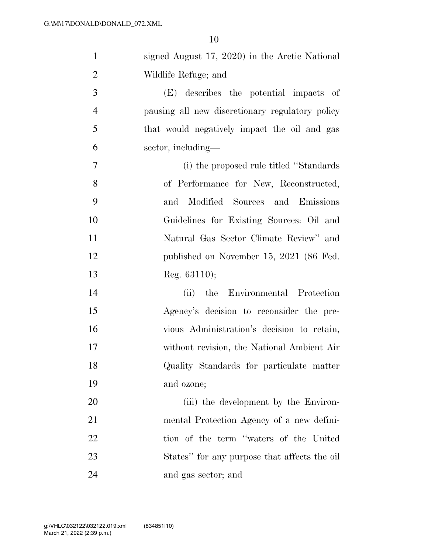| $\mathbf{1}$   | signed August 17, 2020) in the Arctic National  |
|----------------|-------------------------------------------------|
| $\overline{2}$ | Wildlife Refuge; and                            |
| 3              | (E) describes the potential impacts of          |
| $\overline{4}$ | pausing all new discretionary regulatory policy |
| 5              | that would negatively impact the oil and gas    |
| 6              | sector, including—                              |
| $\overline{7}$ | (i) the proposed rule titled "Standards"        |
| 8              | of Performance for New, Reconstructed,          |
| 9              | Modified Sources and Emissions<br>and           |
| 10             | Guidelines for Existing Sources: Oil and        |
| 11             | Natural Gas Sector Climate Review" and          |
| 12             | published on November 15, 2021 (86 Fed.         |
| 13             | Reg. $63110$ ;                                  |
| 14             | the Environmental Protection<br>(ii)            |
| 15             | Agency's decision to reconsider the pre-        |
| 16             | vious Administration's decision to retain,      |
| 17             | without revision, the National Ambient Air      |
| 18             | Quality Standards for particulate matter        |
| 19             | and ozone;                                      |
| 20             | (iii) the development by the Environ-           |
| 21             | mental Protection Agency of a new defini-       |
| 22             | tion of the term "waters of the United          |
| 23             | States" for any purpose that affects the oil    |
| 24             | and gas sector; and                             |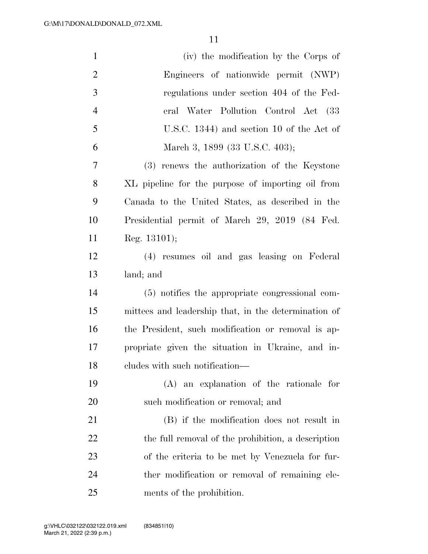| $\mathbf{1}$   | (iv) the modification by the Corps of                |
|----------------|------------------------------------------------------|
| $\overline{2}$ | Engineers of nationwide permit (NWP)                 |
| 3              | regulations under section 404 of the Fed-            |
| $\overline{4}$ | eral Water Pollution Control Act (33                 |
| 5              | U.S.C. 1344) and section 10 of the Act of            |
| 6              | March 3, 1899 (33 U.S.C. 403);                       |
| 7              | (3) renews the authorization of the Keystone         |
| 8              | XL pipeline for the purpose of importing oil from    |
| 9              | Canada to the United States, as described in the     |
| 10             | Presidential permit of March 29, 2019 (84 Fed.       |
| 11             | Reg. 13101);                                         |
| 12             | (4) resumes oil and gas leasing on Federal           |
| 13             | land; and                                            |
| 14             | (5) notifies the appropriate congressional com-      |
| 15             | mittees and leadership that, in the determination of |
| 16             | the President, such modification or removal is ap-   |
| 17             | propriate given the situation in Ukraine, and in-    |
| 18             | cludes with such notification-                       |
| 19             | $(A)$ an explanation of the rationale for            |
| <b>20</b>      | such modification or removal; and                    |
| 21             | (B) if the modification does not result in           |
| 22             | the full removal of the prohibition, a description   |
| 23             | of the criteria to be met by Venezuela for fur-      |
| 24             | ther modification or removal of remaining ele-       |
| 25             | ments of the prohibition.                            |